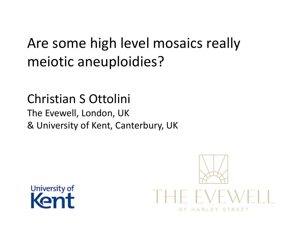### Are some high level mosaics really meiotic aneuploidies?

#### Christian S Ottolini The Evewell, London, UK & University of Kent, Canterbury, UK



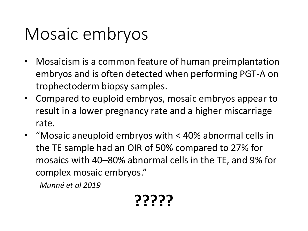### Mosaic embryos

- Mosaicism is a common feature of human preimplantation embryos and is often detected when performing PGT-A on trophectoderm biopsy samples.
- Compared to euploid embryos, mosaic embryos appear to result in a lower pregnancy rate and a higher miscarriage rate.
- "Mosaic aneuploid embryos with < 40% abnormal cells in the TE sample had an OIR of 50% compared to 27% for mosaics with 40–80% abnormal cells in the TE, and 9% for complex mosaic embryos."

*Munné et al 2019*

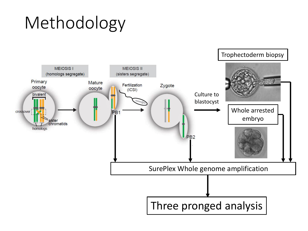## Methodology

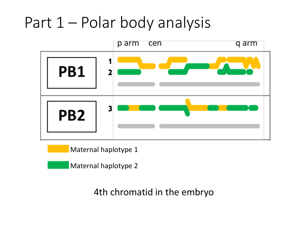### Part 1 – Polar body analysis



Maternal haplotype 1

Maternal haplotype 2

4th chromatid in the embryo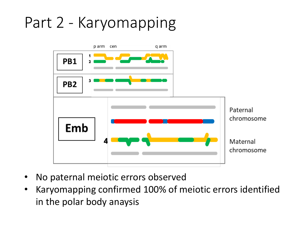### Part 2 - Karyomapping



- No paternal meiotic errors observed
- Karyomapping confirmed 100% of meiotic errors identified in the polar body anaysis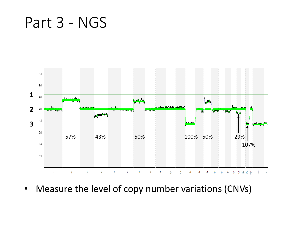Part 3 - NGS



• Measure the level of copy number variations (CNVs)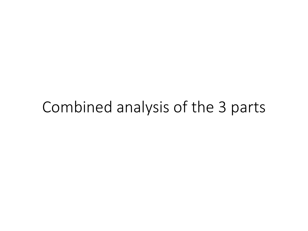### Combined analysis of the 3 parts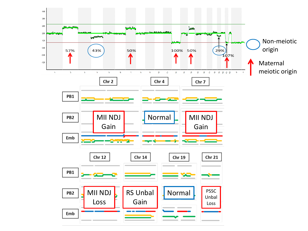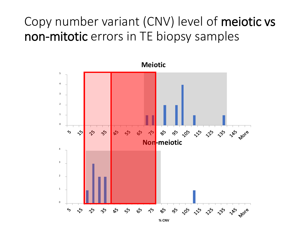#### Copy number variant (CNV) level of meiotic vs non-mitotic errors in TE biopsy samples

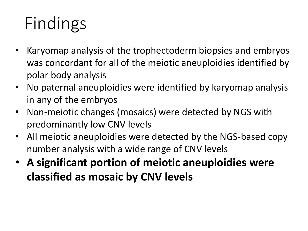# Findings

- Karyomap analysis of the trophectoderm biopsies and embryos was concordant for all of the meiotic aneuploidies identified by polar body analysis
- No paternal aneuploidies were identified by karyomap analysis in any of the embryos
- Non-meiotic changes (mosaics) were detected by NGS with predominantly low CNV levels
- All meiotic aneuploidies were detected by the NGS-based copy number analysis with a wide range of CNV levels
- **A significant portion of meiotic aneuploidies were classified as mosaic by CNV levels**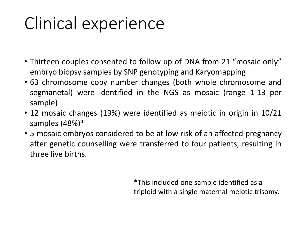## Clinical experience

- Thirteen couples consented to follow up of DNA from 21 "mosaic only" embryo biopsy samples by SNP genotyping and Karyomapping
- 63 chromosome copy number changes (both whole chromosome and segmanetal) were identified in the NGS as mosaic (range 1-13 per sample)
- 12 mosaic changes (19%) were identified as meiotic in origin in 10/21 samples (48%)\*
- 5 mosaic embryos considered to be at low risk of an affected pregnancy after genetic counselling were transferred to four patients, resulting in three live births.

\*This included one sample identified as a triploid with a single maternal meiotic trisomy.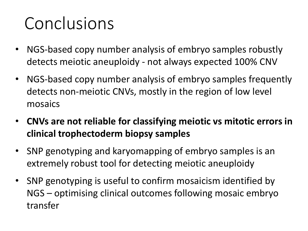### Conclusions

- NGS-based copy number analysis of embryo samples robustly detects meiotic aneuploidy - not always expected 100% CNV
- NGS-based copy number analysis of embryo samples frequently detects non-meiotic CNVs, mostly in the region of low level mosaics
- **CNVs are not reliable for classifying meiotic vs mitotic errors in clinical trophectoderm biopsy samples**
- SNP genotyping and karyomapping of embryo samples is an extremely robust tool for detecting meiotic aneuploidy
- SNP genotyping is useful to confirm mosaicism identified by NGS – optimising clinical outcomes following mosaic embryo transfer